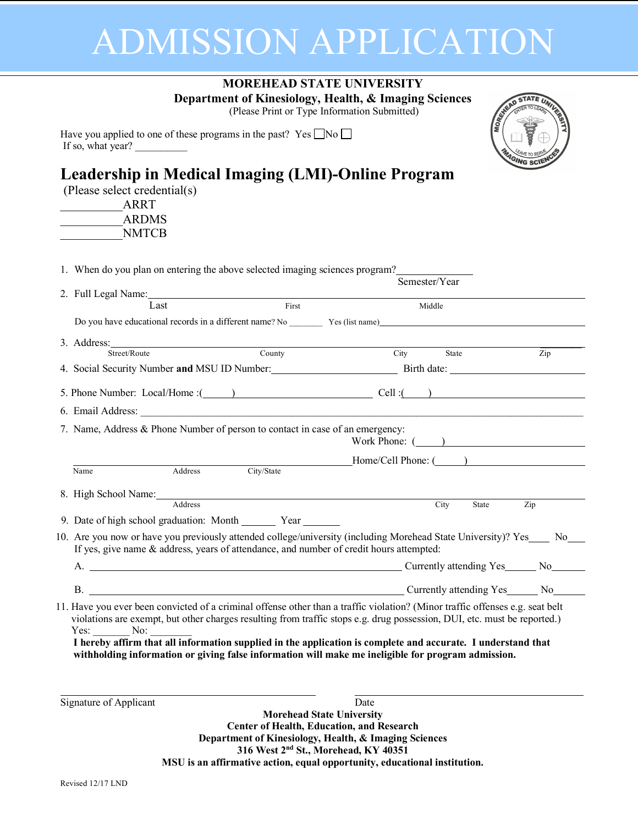## ADMISSION APPLICATION

|                                                                                                                                                                                                                                                                                                                                                                                                                                                                                                      | <b>MOREHEAD STATE UNIVERSITY</b><br>Department of Kinesiology, Health, & Imaging Sciences<br><b>MORE</b> WEAD<br>(Please Print or Type Information Submitted) |           |
|------------------------------------------------------------------------------------------------------------------------------------------------------------------------------------------------------------------------------------------------------------------------------------------------------------------------------------------------------------------------------------------------------------------------------------------------------------------------------------------------------|---------------------------------------------------------------------------------------------------------------------------------------------------------------|-----------|
| Have you applied to one of these programs in the past? Yes $\Box$ No $\Box$<br>If so, what year?                                                                                                                                                                                                                                                                                                                                                                                                     |                                                                                                                                                               |           |
| Leadership in Medical Imaging (LMI)-Online Program<br>(Please select credential(s)<br>ARRT<br>ARDMS<br><b>NMTCB</b>                                                                                                                                                                                                                                                                                                                                                                                  |                                                                                                                                                               | GING SCIE |
| 1. When do you plan on entering the above selected imaging sciences program?                                                                                                                                                                                                                                                                                                                                                                                                                         | Semester/Year                                                                                                                                                 |           |
|                                                                                                                                                                                                                                                                                                                                                                                                                                                                                                      |                                                                                                                                                               |           |
| First<br>Last                                                                                                                                                                                                                                                                                                                                                                                                                                                                                        | Middle                                                                                                                                                        |           |
|                                                                                                                                                                                                                                                                                                                                                                                                                                                                                                      |                                                                                                                                                               |           |
| 3. Address: Street/Route County                                                                                                                                                                                                                                                                                                                                                                                                                                                                      | City<br>State                                                                                                                                                 | Zip       |
| 4. Social Security Number and MSU ID Number: Birth date: Birth date:                                                                                                                                                                                                                                                                                                                                                                                                                                 |                                                                                                                                                               |           |
| 5. Phone Number: Local/Home : (1, 1) Cell : (2, 1)<br>7. Name, Address & Phone Number of person to contact in case of an emergency:                                                                                                                                                                                                                                                                                                                                                                  |                                                                                                                                                               |           |
|                                                                                                                                                                                                                                                                                                                                                                                                                                                                                                      | Work Phone: ( )                                                                                                                                               |           |
| Address<br>Name                                                                                                                                                                                                                                                                                                                                                                                                                                                                                      | Flome/Cell Phone: (2008)                                                                                                                                      |           |
| 8. High School Name: Address                                                                                                                                                                                                                                                                                                                                                                                                                                                                         | City<br>State                                                                                                                                                 | Zip       |
| 9. Date of high school graduation: Month ________ Year ______                                                                                                                                                                                                                                                                                                                                                                                                                                        |                                                                                                                                                               |           |
| 10. Are you now or have you previously attended college/university (including Morehead State University)? Yes___ No__<br>If yes, give name & address, years of attendance, and number of credit hours attempted:                                                                                                                                                                                                                                                                                     |                                                                                                                                                               |           |
| A. Currently attending Yes No                                                                                                                                                                                                                                                                                                                                                                                                                                                                        |                                                                                                                                                               |           |
| B. Currently attending Yes No                                                                                                                                                                                                                                                                                                                                                                                                                                                                        |                                                                                                                                                               |           |
| 11. Have you ever been convicted of a criminal offense other than a traffic violation? (Minor traffic offenses e.g. seat belt<br>violations are exempt, but other charges resulting from traffic stops e.g. drug possession, DUI, etc. must be reported.)<br>$Yes:$ No: $\_\_$<br>I hereby affirm that all information supplied in the application is complete and accurate. I understand that<br>withholding information or giving false information will make me ineligible for program admission. |                                                                                                                                                               |           |
| Signature of Applicant                                                                                                                                                                                                                                                                                                                                                                                                                                                                               | Date<br><b>Morehead State University</b><br><b>Center of Health, Education, and Research</b>                                                                  |           |

**Center of Health, Education, and Research Department of Kinesiology, Health, & Imaging Sciences 316 West 2nd St., Morehead, KY 40351 MSU is an affirmative action, equal opportunity, educational institution.**